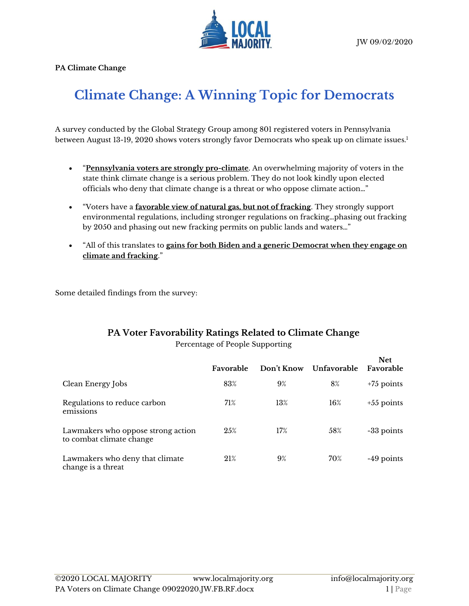

**PA Climate Change**

## **Climate Change: A Winning Topic for Democrats**

A survey conducted by the Global Strategy Group among 801 registered voters in Pennsylvania between August 13-19, 2020 shows voters strongly favor Democrats who speak up on climate issues. 1

- "**Pennsylvania voters are strongly pro-climate**. An overwhelming majority of voters in the state think climate change is a serious problem. They do not look kindly upon elected officials who deny that climate change is a threat or who oppose climate action…"
- "Voters have a **favorable view of natural gas, but not of fracking**. They strongly support environmental regulations, including stronger regulations on fracking…phasing out fracking by 2050 and phasing out new fracking permits on public lands and waters…"
- "All of this translates to **gains for both Biden and a generic Democrat when they engage on climate and fracking**."

Some detailed findings from the survey:

## **PA Voter Favorability Ratings Related to Climate Change**

Percentage of People Supporting

|                                                                | Favorable | <b>Don't Know</b> | Unfavorable | <b>Net</b><br>Favorable |
|----------------------------------------------------------------|-----------|-------------------|-------------|-------------------------|
| Clean Energy Jobs                                              | 83%       | 9%                | 8%          | $+75$ points            |
| Regulations to reduce carbon<br>emissions                      | 71%       | 13%               | 16%         | $+55$ points            |
| Lawmakers who oppose strong action<br>to combat climate change | 25%       | 17%               | 58%         | -33 points              |
| Lawmakers who deny that climate<br>change is a threat          | 21%       | 9%                | 70%         | -49 points              |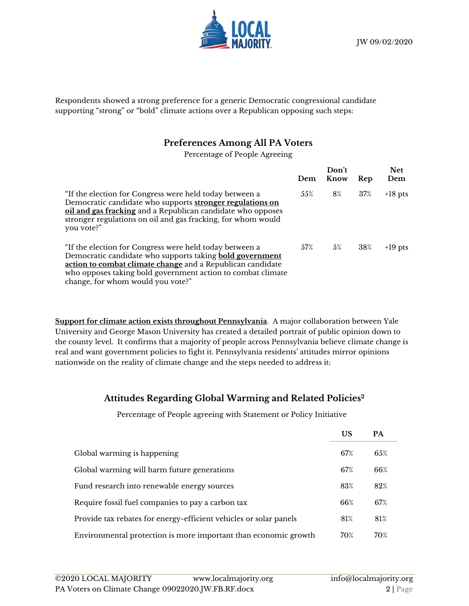

Respondents showed a strong preference for a generic Democratic congressional candidate supporting "strong" or "bold" climate actions over a Republican opposing such steps:

## **Preferences Among All PA Voters**

Percentage of People Agreeing

|                                                                                                                                                                                                                                                                                              | Dem | Don't<br>Know | Rep | <b>Net</b><br>Dem |
|----------------------------------------------------------------------------------------------------------------------------------------------------------------------------------------------------------------------------------------------------------------------------------------------|-----|---------------|-----|-------------------|
| "If the election for Congress were held today between a<br>Democratic candidate who supports stronger regulations on<br>oil and gas fracking and a Republican candidate who opposes<br>stronger regulations on oil and gas fracking, for whom would<br>you vote?"                            | 55% | 8%            | 37% | $+18$ pts         |
| "If the election for Congress were held today between a<br>Democratic candidate who supports taking <b>bold government</b><br>action to combat climate change and a Republican candidate<br>who opposes taking bold government action to combat climate<br>change, for whom would you vote?" | 57% | 5%            | 38% | $+19$ pts         |

**Support for climate action exists throughout Pennsylvania**. A major collaboration between Yale University and George Mason University has created a detailed portrait of public opinion down to the county level. It confirms that a majority of people across Pennsylvania believe climate change is real and want government policies to fight it. Pennsylvania residents' attitudes mirror opinions nationwide on the reality of climate change and the steps needed to address it:

## **Attitudes Regarding Global Warming and Related Policies<sup>2</sup>**

Percentage of People agreeing with Statement or Policy Initiative

|                                                                   | US  | PA  |
|-------------------------------------------------------------------|-----|-----|
| Global warming is happening                                       | 67% | 65% |
| Global warming will harm future generations                       | 67% | 66% |
| Fund research into renewable energy sources                       | 83% | 82% |
| Require fossil fuel companies to pay a carbon tax                 | 66% | 67% |
| Provide tax rebates for energy-efficient vehicles or solar panels | 81% | 81% |
| Environmental protection is more important than economic growth   | 70% | 70% |